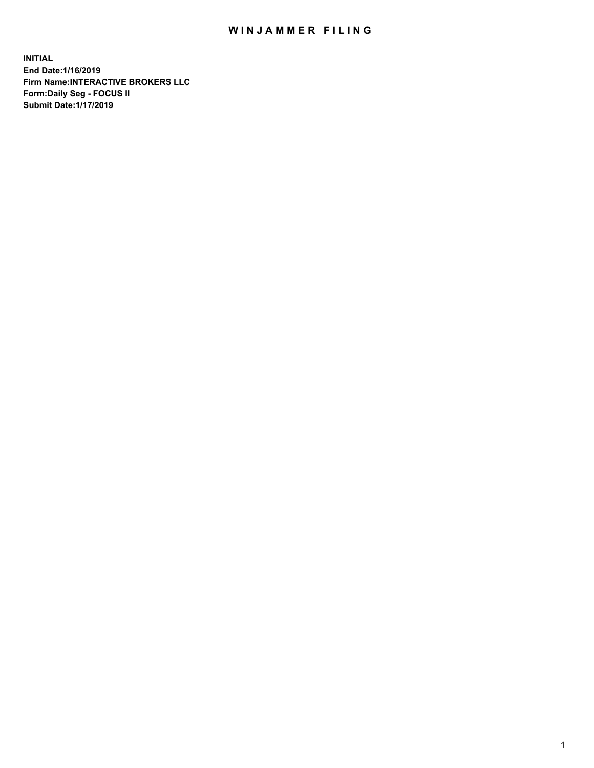## WIN JAMMER FILING

**INITIAL End Date:1/16/2019 Firm Name:INTERACTIVE BROKERS LLC Form:Daily Seg - FOCUS II Submit Date:1/17/2019**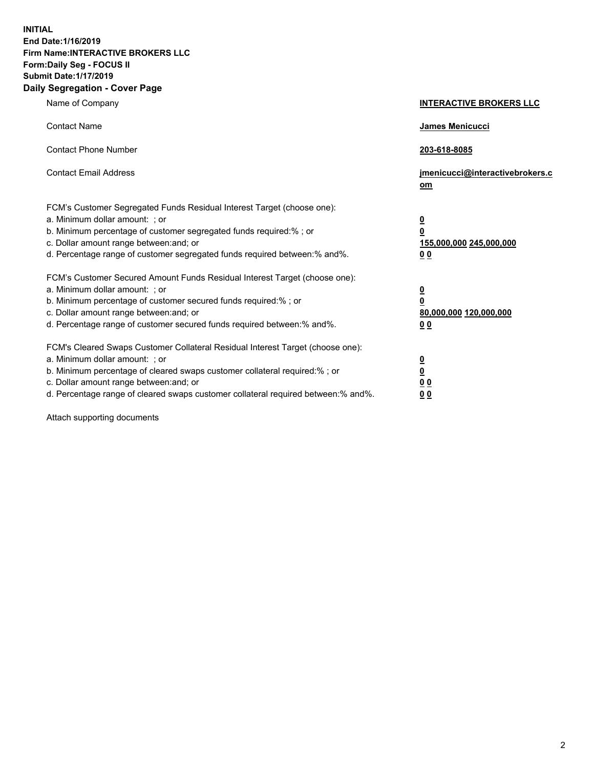**INITIAL End Date:1/16/2019 Firm Name:INTERACTIVE BROKERS LLC Form:Daily Seg - FOCUS II Submit Date:1/17/2019 Daily Segregation - Cover Page**

| Name of Company                                                                                                                                                                                                                                                                                                                | <b>INTERACTIVE BROKERS LLC</b>                                                                  |
|--------------------------------------------------------------------------------------------------------------------------------------------------------------------------------------------------------------------------------------------------------------------------------------------------------------------------------|-------------------------------------------------------------------------------------------------|
| <b>Contact Name</b>                                                                                                                                                                                                                                                                                                            | James Menicucci                                                                                 |
| <b>Contact Phone Number</b>                                                                                                                                                                                                                                                                                                    | 203-618-8085                                                                                    |
| <b>Contact Email Address</b>                                                                                                                                                                                                                                                                                                   | jmenicucci@interactivebrokers.c<br>om                                                           |
| FCM's Customer Segregated Funds Residual Interest Target (choose one):<br>a. Minimum dollar amount: ; or<br>b. Minimum percentage of customer segregated funds required:% ; or<br>c. Dollar amount range between: and; or<br>d. Percentage range of customer segregated funds required between:% and%.                         | $\overline{\mathbf{0}}$<br>$\overline{\mathbf{0}}$<br>155,000,000 245,000,000<br>0 <sub>0</sub> |
| FCM's Customer Secured Amount Funds Residual Interest Target (choose one):<br>a. Minimum dollar amount: ; or<br>b. Minimum percentage of customer secured funds required:%; or<br>c. Dollar amount range between: and; or<br>d. Percentage range of customer secured funds required between:% and%.                            | $\overline{\mathbf{0}}$<br>$\overline{\mathbf{0}}$<br>80,000,000 120,000,000<br>00              |
| FCM's Cleared Swaps Customer Collateral Residual Interest Target (choose one):<br>a. Minimum dollar amount: ; or<br>b. Minimum percentage of cleared swaps customer collateral required:% ; or<br>c. Dollar amount range between: and; or<br>d. Percentage range of cleared swaps customer collateral required between:% and%. | $\overline{\mathbf{0}}$<br>$\underline{\mathbf{0}}$<br>0 <sub>0</sub><br>0 <sub>0</sub>         |

Attach supporting documents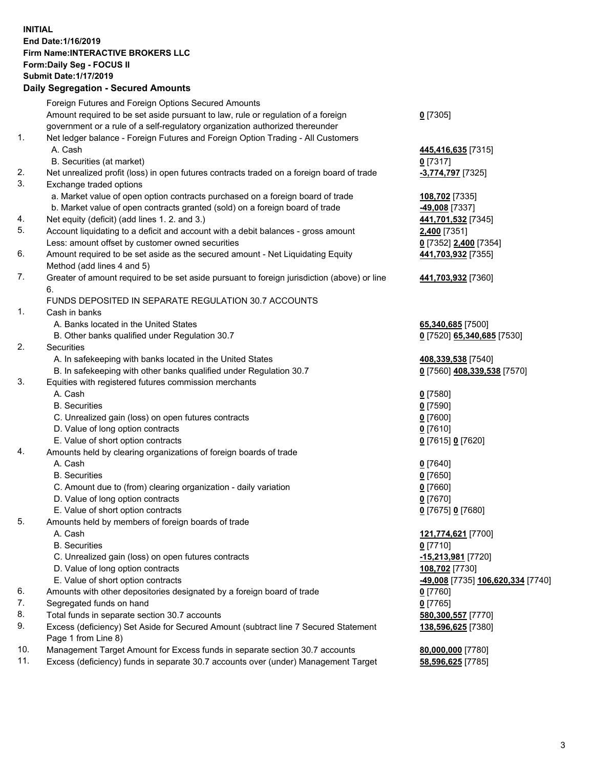## **INITIAL End Date:1/16/2019 Firm Name:INTERACTIVE BROKERS LLC Form:Daily Seg - FOCUS II Submit Date:1/17/2019 Daily Segregation - Secured Amounts**

|     | Daily Segregation - Secured Amounts                                                         |                                                |
|-----|---------------------------------------------------------------------------------------------|------------------------------------------------|
|     | Foreign Futures and Foreign Options Secured Amounts                                         |                                                |
|     | Amount required to be set aside pursuant to law, rule or regulation of a foreign            | $0$ [7305]                                     |
|     | government or a rule of a self-regulatory organization authorized thereunder                |                                                |
| 1.  | Net ledger balance - Foreign Futures and Foreign Option Trading - All Customers             |                                                |
|     | A. Cash                                                                                     | 445,416,635 [7315]                             |
|     | B. Securities (at market)                                                                   | $0$ [7317]                                     |
| 2.  | Net unrealized profit (loss) in open futures contracts traded on a foreign board of trade   | -3,774,797 [7325]                              |
| 3.  | Exchange traded options                                                                     |                                                |
|     | a. Market value of open option contracts purchased on a foreign board of trade              | 108,702 [7335]                                 |
|     | b. Market value of open contracts granted (sold) on a foreign board of trade                | -49,008 [7337]                                 |
| 4.  | Net equity (deficit) (add lines 1. 2. and 3.)                                               | 441,701,532 [7345]                             |
| 5.  | Account liquidating to a deficit and account with a debit balances - gross amount           | 2,400 [7351]                                   |
|     | Less: amount offset by customer owned securities                                            | 0 [7352] 2,400 [7354]                          |
| 6.  | Amount required to be set aside as the secured amount - Net Liquidating Equity              | 441,703,932 [7355]                             |
|     | Method (add lines 4 and 5)                                                                  |                                                |
| 7.  | Greater of amount required to be set aside pursuant to foreign jurisdiction (above) or line | 441,703,932 [7360]                             |
|     | 6.                                                                                          |                                                |
|     | FUNDS DEPOSITED IN SEPARATE REGULATION 30.7 ACCOUNTS                                        |                                                |
| 1.  | Cash in banks                                                                               |                                                |
|     | A. Banks located in the United States                                                       | 65,340,685 [7500]                              |
|     | B. Other banks qualified under Regulation 30.7                                              | 0 [7520] 65,340,685 [7530]                     |
| 2.  | <b>Securities</b>                                                                           |                                                |
|     | A. In safekeeping with banks located in the United States                                   | 408,339,538 [7540]                             |
|     | B. In safekeeping with other banks qualified under Regulation 30.7                          | 0 [7560] 408,339,538 [7570]                    |
| 3.  | Equities with registered futures commission merchants                                       |                                                |
|     | A. Cash                                                                                     | $0$ [7580]                                     |
|     | <b>B.</b> Securities                                                                        | $0$ [7590]                                     |
|     | C. Unrealized gain (loss) on open futures contracts                                         | $0$ [7600]                                     |
|     | D. Value of long option contracts                                                           | $0$ [7610]                                     |
|     | E. Value of short option contracts                                                          | 0 [7615] 0 [7620]                              |
| 4.  | Amounts held by clearing organizations of foreign boards of trade                           |                                                |
|     | A. Cash                                                                                     | $0$ [7640]                                     |
|     | <b>B.</b> Securities                                                                        | $0$ [7650]                                     |
|     | C. Amount due to (from) clearing organization - daily variation                             | $0$ [7660]                                     |
|     | D. Value of long option contracts                                                           | $0$ [7670]                                     |
|     | E. Value of short option contracts                                                          | 0 [7675] 0 [7680]                              |
| 5.  | Amounts held by members of foreign boards of trade                                          |                                                |
|     | A. Cash                                                                                     | 121,774,621 [7700]                             |
|     | <b>B.</b> Securities                                                                        | $0$ [7710]                                     |
|     | C. Unrealized gain (loss) on open futures contracts                                         | -15,213,981 [7720]                             |
|     | D. Value of long option contracts                                                           | 108,702 [7730]                                 |
|     | E. Value of short option contracts                                                          | <mark>-49,008</mark> [7735] 106,620,334 [7740] |
| 6.  | Amounts with other depositories designated by a foreign board of trade                      | $0$ [7760]                                     |
| 7.  | Segregated funds on hand                                                                    | $0$ [7765]                                     |
| 8.  | Total funds in separate section 30.7 accounts                                               | 580,300,557 [7770]                             |
| 9.  | Excess (deficiency) Set Aside for Secured Amount (subtract line 7 Secured Statement         | 138,596,625 [7380]                             |
|     | Page 1 from Line 8)                                                                         |                                                |
| 10. | Management Target Amount for Excess funds in separate section 30.7 accounts                 | 80,000,000 [7780]                              |
| 11. | Excess (deficiency) funds in separate 30.7 accounts over (under) Management Target          | 58,596,625 [7785]                              |
|     |                                                                                             |                                                |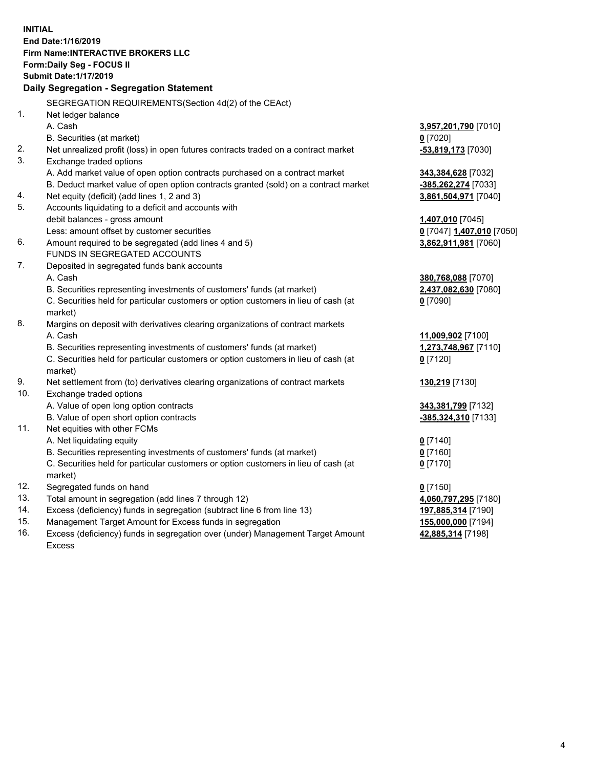**INITIAL End Date:1/16/2019 Firm Name:INTERACTIVE BROKERS LLC Form:Daily Seg - FOCUS II Submit Date:1/17/2019 Daily Segregation - Segregation Statement** SEGREGATION REQUIREMENTS(Section 4d(2) of the CEAct) 1. Net ledger balance A. Cash **3,957,201,790** [7010] B. Securities (at market) **0** [7020] 2. Net unrealized profit (loss) in open futures contracts traded on a contract market **-53,819,173** [7030] 3. Exchange traded options A. Add market value of open option contracts purchased on a contract market **343,384,628** [7032] B. Deduct market value of open option contracts granted (sold) on a contract market **-385,262,274** [7033] 4. Net equity (deficit) (add lines 1, 2 and 3) **3,861,504,971** [7040] 5. Accounts liquidating to a deficit and accounts with debit balances - gross amount **1,407,010** [7045] Less: amount offset by customer securities **0** [7047] **1,407,010** [7050] 6. Amount required to be segregated (add lines 4 and 5) **3,862,911,981** [7060] FUNDS IN SEGREGATED ACCOUNTS 7. Deposited in segregated funds bank accounts A. Cash **380,768,088** [7070] B. Securities representing investments of customers' funds (at market) **2,437,082,630** [7080] C. Securities held for particular customers or option customers in lieu of cash (at market) **0** [7090] 8. Margins on deposit with derivatives clearing organizations of contract markets A. Cash **11,009,902** [7100] B. Securities representing investments of customers' funds (at market) **1,273,748,967** [7110] C. Securities held for particular customers or option customers in lieu of cash (at market) **0** [7120] 9. Net settlement from (to) derivatives clearing organizations of contract markets **130,219** [7130] 10. Exchange traded options A. Value of open long option contracts **343,381,799** [7132] B. Value of open short option contracts **-385,324,310** [7133] 11. Net equities with other FCMs A. Net liquidating equity **0** [7140] B. Securities representing investments of customers' funds (at market) **0** [7160] C. Securities held for particular customers or option customers in lieu of cash (at market) **0** [7170] 12. Segregated funds on hand **0** [7150] 13. Total amount in segregation (add lines 7 through 12) **4,060,797,295** [7180] 14. Excess (deficiency) funds in segregation (subtract line 6 from line 13) **197,885,314** [7190] 15. Management Target Amount for Excess funds in segregation **155,000,000** [7194] **42,885,314** [7198]

16. Excess (deficiency) funds in segregation over (under) Management Target Amount Excess